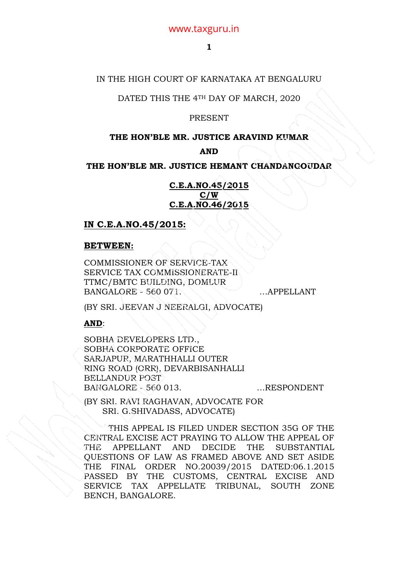# www.taxguru.in

## IN THE HIGH COURT OF KARNATAKA AT BENGALURU

DATED THIS THE 4TH DAY OF MARCH, 2020

### **PRESENT**

### **THE HON'BLE MR. JUSTICE ARAVIND KUMAR**

### **AND**

**THE HON'BLE MR. JUSTICE HEMANT CHANDANGOUDAR** 

**C.E.A.NO.45/2015 C/W C.E.A.NO.46/2015**

### **IN C.E.A.NO.45/2015:**

#### **BETWEEN:**

COMMISSIONER OF SERVICE-TAX SERVICE TAX COMMISSIONERATE-II TTMC/BMTC BUILDING, DOMLUR BANGALORE - 560 071. . . . . . . . . . . APPELLANT

(BY SRI. JEEVAN J NEERALGI, ADVOCATE)

### **AND**:

SOBHA DEVELOPERS LTD., SOBHA CORPORATE OFFICE SARJAPUR, MARATHHALLI OUTER RING ROAD (ORR), DEVARBISANHALLI BELLANDUR POST BANGALORE - 560 013. ... ... RESPONDENT

(BY SRI. RAVI RAGHAVAN, ADVOCATE FOR SRI. G.SHIVADASS, ADVOCATE)

THIS APPEAL IS FILED UNDER SECTION 35G OF THE CENTRAL EXCISE ACT PRAYING TO ALLOW THE APPEAL OF THE APPELLANT AND DECIDE THE SUBSTANTIAL QUESTIONS OF LAW AS FRAMED ABOVE AND SET ASIDE THE FINAL ORDER NO.20039/2015 DATED:06.1.2015 PASSED BY THE CUSTOMS, CENTRAL EXCISE AND SERVICE TAX APPELLATE TRIBUNAL, SOUTH ZONE BENCH, BANGALORE.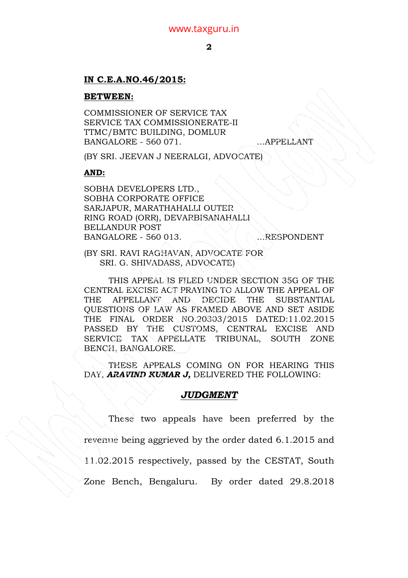# **IN C.E.A.NO.46/2015:**

### **BETWEEN:**

COMMISSIONER OF SERVICE TAX SERVICE TAX COMMISSIONERATE-II TTMC/BMTC BUILDING, DOMLUR BANGALORE - 560 071. …APPELLANT

(BY SRI. JEEVAN J NEERALGI, ADVOCATE)

### **AND:**

SOBHA DEVELOPERS LTD., SOBHA CORPORATE OFFICE SARJAPUR, MARATHAHALLI OUTER RING ROAD (ORR), DEVARBISANAHALLI BELLANDUR POST BANGALORE - 560 013. ERESPONDENT

(BY SRI. RAVI RAGHAVAN, ADVOCATE FOR SRI. G. SHIVADASS, ADVOCATE)

THIS APPEAL IS FILED UNDER SECTION 35G OF THE CENTRAL EXCISE ACT PRAYING TO ALLOW THE APPEAL OF THE APPELLANT AND DECIDE THE SUBSTANTIAL QUESTIONS OF LAW AS FRAMED ABOVE AND SET ASIDE THE FINAL ORDER NO.20303/2015 DATED:11.02.2015 PASSED BY THE CUSTOMS, CENTRAL EXCISE AND SERVICE TAX APPELLATE TRIBUNAL, SOUTH ZONE BENCH, BANGALORE.

THESE APPEALS COMING ON FOR HEARING THIS DAY, **ARAVIND KUMAR J, DELIVERED THE FOLLOWING:** 

# *JUDGMENT*

 These two appeals have been preferred by the revenue being aggrieved by the order dated 6.1.2015 and 11.02.2015 respectively, passed by the CESTAT, South Zone Bench, Bengaluru. By order dated 29.8.2018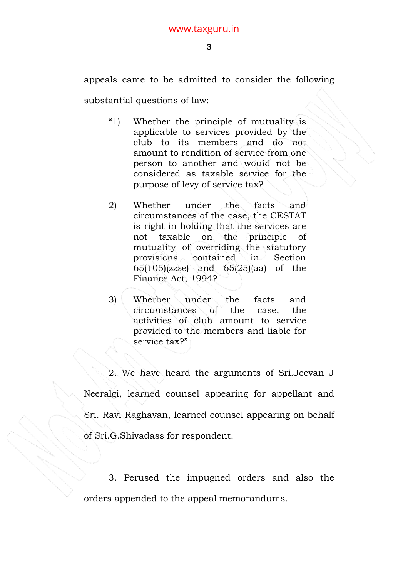appeals came to be admitted to consider the following

substantial questions of law:

- "1) Whether the principle of mutuality is applicable to services provided by the club to its members and do not amount to rendition of service from one person to another and would not be considered as taxable service for the purpose of levy of service tax?
- 2) Whether under the facts and circumstances of the case, the CESTAT is right in holding that the services are not taxable on the principle of mutuality of overriding the statutory provisions contained in Section 65(105)(zzze) and 65(25)(aa) of the Finance Act, 1994?
- 3) Whether under the facts and circumstances of the case, the activities of club amount to service provided to the members and liable for service tax?"

 2. We have heard the arguments of Sri.Jeevan J Neeralgi, learned counsel appearing for appellant and Sri. Ravi Raghavan, learned counsel appearing on behalf of Sri.G.Shivadass for respondent.

 3. Perused the impugned orders and also the orders appended to the appeal memorandums.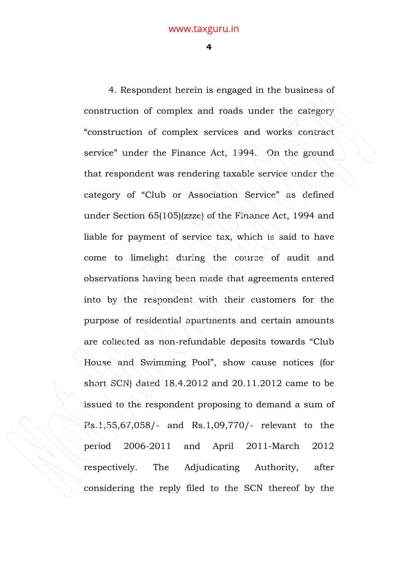**4** 

 4. Respondent herein is engaged in the business of construction of complex and roads under the category "construction of complex services and works contract service" under the Finance Act, 1994. On the ground that respondent was rendering taxable service under the category of "Club or Association Service" as defined under Section 65(105)(zzze) of the Finance Act, 1994 and liable for payment of service tax, which is said to have come to limelight during the course of audit and observations having been made that agreements entered into by the respondent with their customers for the purpose of residential apartments and certain amounts are collected as non-refundable deposits towards "Club House and Swimming Pool", show cause notices (for short SCN) dated 18.4.2012 and 20.11.2012 came to be issued to the respondent proposing to demand a sum of Rs.1,55,67,058/- and Rs.1,09,770/- relevant to the period 2006-2011 and April 2011-March 2012 respectively. The Adjudicating Authority, after considering the reply filed to the SCN thereof by the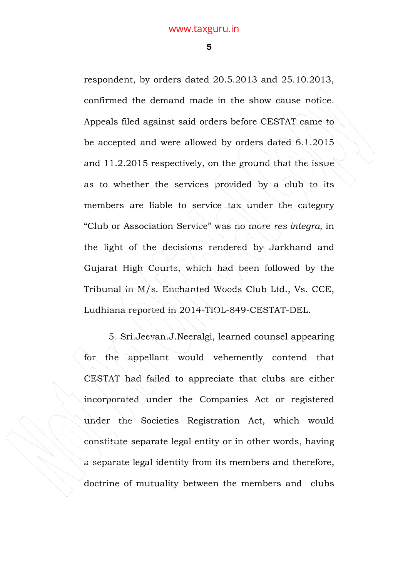**5** 

respondent, by orders dated 20.5.2013 and 25.10.2013, confirmed the demand made in the show cause notice. Appeals filed against said orders before CESTAT came to be accepted and were allowed by orders dated 6.1.2015 and 11.2.2015 respectively, on the ground that the issue as to whether the services provided by a club to its members are liable to service tax under the category "Club or Association Service" was no more *res integra,* in the light of the decisions rendered by Jarkhand and Gujarat High Courts, which had been followed by the Tribunal in M/s. Enchanted Woods Club Ltd., Vs. CCE, Ludhiana reported in 2014-TIOL-849-CESTAT-DEL.

 5. Sri.Jeevan.J.Neeralgi, learned counsel appearing for the appellant would vehemently contend that CESTAT had failed to appreciate that clubs are either incorporated under the Companies Act or registered under the Societies Registration Act, which would constitute separate legal entity or in other words, having a separate legal identity from its members and therefore, doctrine of mutuality between the members and clubs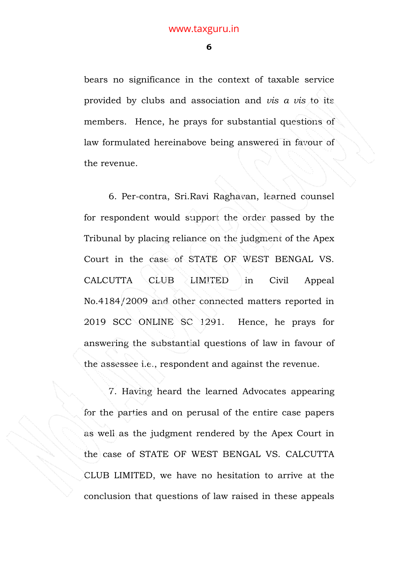**6** 

bears no significance in the context of taxable service provided by clubs and association and *vis a vis* to its members. Hence, he prays for substantial questions of law formulated hereinabove being answered in favour of the revenue.

 6. Per-contra, Sri.Ravi Raghavan, learned counsel for respondent would support the order passed by the Tribunal by placing reliance on the judgment of the Apex Court in the case of STATE OF WEST BENGAL VS. CALCUTTA CLUB LIMITED in Civil Appeal No.4184/2009 and other connected matters reported in 2019 SCC ONLINE SC 1291. Hence, he prays for answering the substantial questions of law in favour of the assessee i.e., respondent and against the revenue.

 7. Having heard the learned Advocates appearing for the parties and on perusal of the entire case papers as well as the judgment rendered by the Apex Court in the case of STATE OF WEST BENGAL VS. CALCUTTA CLUB LIMITED, we have no hesitation to arrive at the conclusion that questions of law raised in these appeals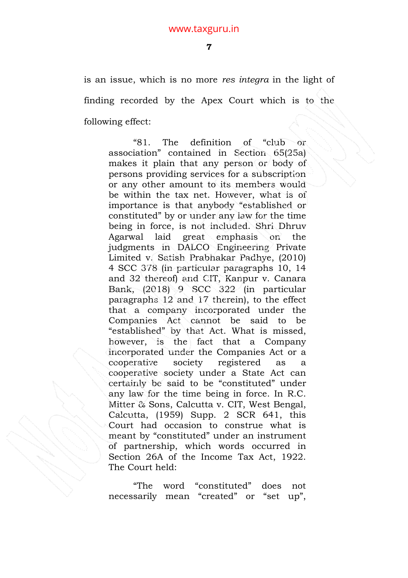is an issue, which is no more *res integra* in the light of finding recorded by the Apex Court which is to the following effect:

"81. The definition of "club or association" contained in Section 65(25a) makes it plain that any person or body of persons providing services for a subscription or any other amount to its members would be within the tax net. However, what is of importance is that anybody "established or constituted" by or under any law for the time being in force, is not included. Shri Dhruv Agarwal laid great emphasis on the judgments in DALCO Engineering Private Limited v. Satish Prabhakar Padhye, (2010) 4 SCC 378 (in particular paragraphs 10, 14 and 32 thereof) and CIT, Kanpur v. Canara Bank, (2018) 9 SCC 322 (in particular paragraphs 12 and 17 therein), to the effect that a company incorporated under the Companies Act cannot be said to be "established" by that Act. What is missed, however, is the fact that a Company incorporated under the Companies Act or a cooperative society registered as a cooperative society under a State Act can certainly be said to be "constituted" under any law for the time being in force. In R.C. Mitter & Sons, Calcutta v. CIT, West Bengal, Calcutta, (1959) Supp. 2 SCR 641, this Court had occasion to construe what is meant by "constituted" under an instrument of partnership, which words occurred in Section 26A of the Income Tax Act, 1922. The Court held:

"The word "constituted" does not necessarily mean "created" or "set up",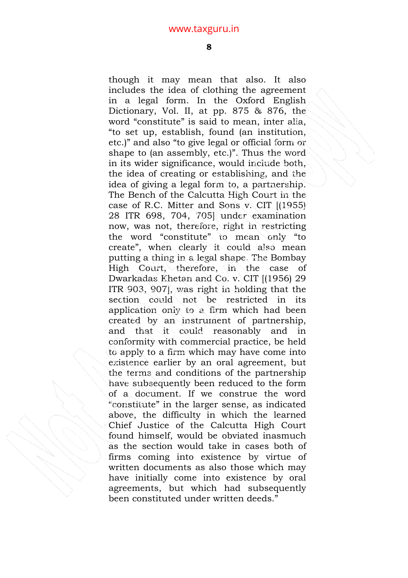though it may mean that also. It also includes the idea of clothing the agreement in a legal form. In the Oxford English Dictionary, Vol. II, at pp. 875 & 876, the word "constitute" is said to mean, inter alia, "to set up, establish, found (an institution, etc.)" and also "to give legal or official form or shape to (an assembly, etc.)". Thus the word in its wider significance, would include both, the idea of creating or establishing, and the idea of giving a legal form to, a partnership. The Bench of the Calcutta High Court in the case of R.C. Mitter and Sons v. CIT [(1955) 28 ITR 698, 704, 705] under examination now, was not, therefore, right in restricting the word "constitute" to mean only "to create", when clearly it could also mean putting a thing in a legal shape. The Bombay High Court, therefore, in the case of Dwarkadas Khetan and Co. v. CIT [(1956) 29 ITR 903, 907], was right in holding that the section could not be restricted in its application only to a firm which had been created by an instrument of partnership, and that it could reasonably and in conformity with commercial practice, be held to apply to a firm which may have come into existence earlier by an oral agreement, but the terms and conditions of the partnership have subsequently been reduced to the form of a document. If we construe the word "constitute" in the larger sense, as indicated above, the difficulty in which the learned Chief Justice of the Calcutta High Court found himself, would be obviated inasmuch as the section would take in cases both of firms coming into existence by virtue of written documents as also those which may have initially come into existence by oral agreements, but which had subsequently been constituted under written deeds."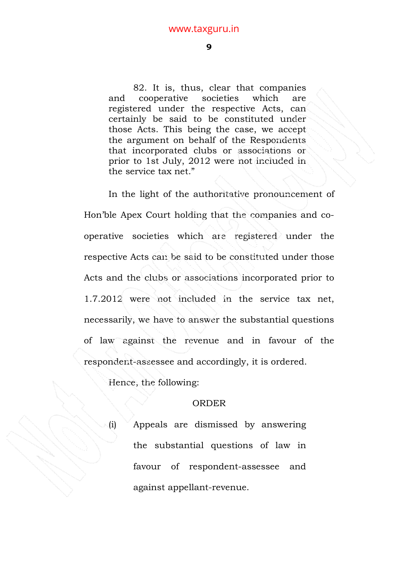82. It is, thus, clear that companies and cooperative societies which are registered under the respective Acts, can certainly be said to be constituted under those Acts. This being the case, we accept the argument on behalf of the Respondents that incorporated clubs or associations or prior to 1st July, 2012 were not included in the service tax net."

In the light of the authoritative pronouncement of Hon'ble Apex Court holding that the companies and cooperative societies which are registered under the respective Acts can be said to be constituted under those Acts and the clubs or associations incorporated prior to 1.7.2012 were not included in the service tax net, necessarily, we have to answer the substantial questions of law against the revenue and in favour of the respondent-assessee and accordingly, it is ordered.

Hence, the following:

### ORDER

(i) Appeals are dismissed by answering the substantial questions of law in favour of respondent-assessee and against appellant-revenue.